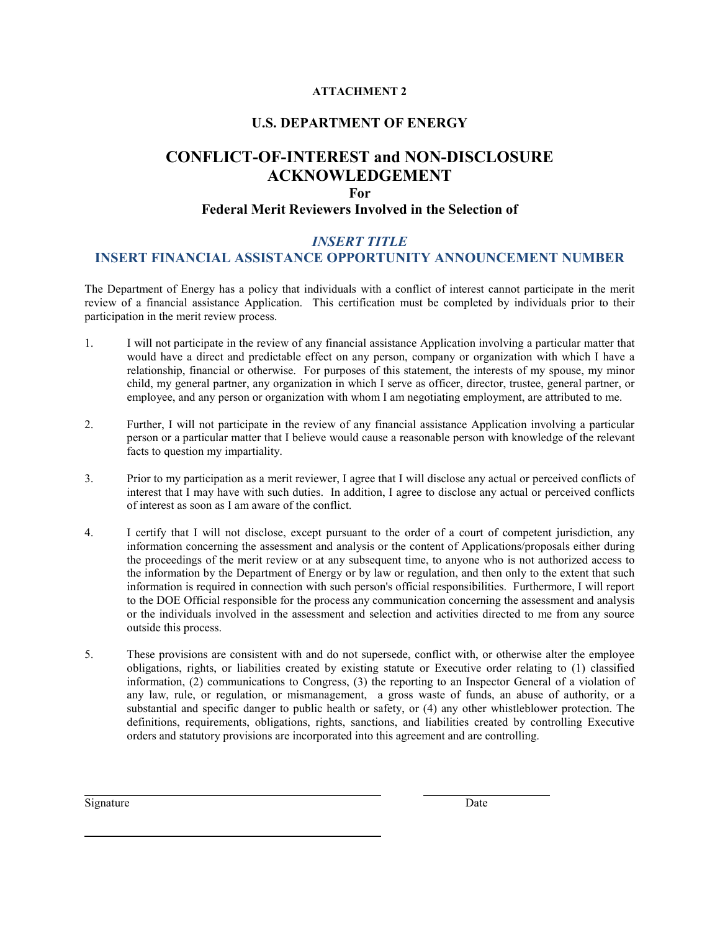### **ATTACHMENT 2**

### **U.S. DEPARTMENT OF ENERGY**

# **CONFLICT-OF-INTEREST and NON-DISCLOSURE ACKNOWLEDGEMENT**

### **For**

### **Federal Merit Reviewers Involved in the Selection of**

### *INSERT TITLE*

### **INSERT FINANCIAL ASSISTANCE OPPORTUNITY ANNOUNCEMENT NUMBER**

The Department of Energy has a policy that individuals with a conflict of interest cannot participate in the merit review of a financial assistance Application. This certification must be completed by individuals prior to their participation in the merit review process.

- would have a direct and predictable effect on any person, company or organization with which I have a relationship, financial or otherwise. For purposes of this statement, the interests of my spouse, my minor child, my general partner, any organization in which I serve as officer, director, trustee, general partner, or 1. I will not participate in the review of any financial assistance Application involving a particular matter that employee, and any person or organization with whom I am negotiating employment, are attributed to me.
- 2. Further, I will not participate in the review of any financial assistance Application involving a particular facts to question my impartiality. person or a particular matter that I believe would cause a reasonable person with knowledge of the relevant
- interest that I may have with such duties. In addition, I agree to disclose any actual or perceived conflicts 3. Prior to my participation as a merit reviewer, I agree that I will disclose any actual or perceived conflicts of of interest as soon as I am aware of the conflict.
- information concerning the assessment and analysis or the content of Applications/proposals either during the proceedings of the merit review or at any subsequent time, to anyone who is not authorized access to information is required in connection with such person's official responsibilities. Furthermore, I will report or the individuals involved in the assessment and selection and activities directed to me from any source 4. I certify that I will not disclose, except pursuant to the order of a court of competent jurisdiction, any the information by the Department of Energy or by law or regulation, and then only to the extent that such to the DOE Official responsible for the process any communication concerning the assessment and analysis outside this process.
- any law, rule, or regulation, or mismanagement, a gross waste of funds, an abuse of authority, or a 5. These provisions are consistent with and do not supersede, conflict with, or otherwise alter the employee obligations, rights, or liabilities created by existing statute or Executive order relating to (1) classified information, (2) communications to Congress, (3) the reporting to an Inspector General of a violation of substantial and specific danger to public health or safety, or (4) any other whistleblower protection. The definitions, requirements, obligations, rights, sanctions, and liabilities created by controlling Executive orders and statutory provisions are incorporated into this agreement and are controlling.

Signature Date

l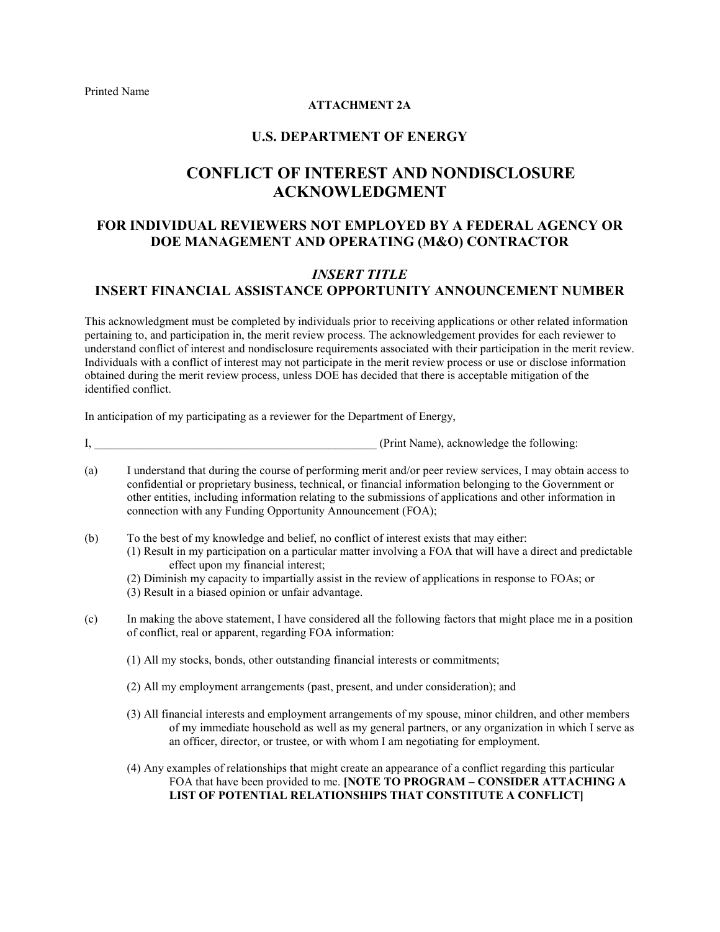### **ATTACHMENT 2A**

### **U.S. DEPARTMENT OF ENERGY**

# **ACKNOWLEDGMENT CONFLICT OF INTEREST AND NONDISCLOSURE**

## **FOR INDIVIDUAL REVIEWERS NOT EMPLOYED BY A FEDERAL AGENCY OR DOE MANAGEMENT AND OPERATING (M&O) CONTRACTOR**

## *INSERT TITLE*  **INSERT FINANCIAL ASSISTANCE OPPORTUNITY ANNOUNCEMENT NUMBER**

This acknowledgment must be completed by individuals prior to receiving applications or other related information pertaining to, and participation in, the merit review process. The acknowledgement provides for each reviewer to understand conflict of interest and nondisclosure requirements associated with their participation in the merit review. Individuals with a conflict of interest may not participate in the merit review process or use or disclose information obtained during the merit review process, unless DOE has decided that there is acceptable mitigation of the identified conflict.

In anticipation of my participating as a reviewer for the Department of Energy,

I, the contract of the contract of the contract of the contract of the following:  $\Gamma$ 

- (a) I understand that during the course of performing merit and/or peer review services, I may obtain access to confidential or proprietary business, technical, or financial information belonging to the Government or other entities, including information relating to the submissions of applications and other information in connection with any Funding Opportunity Announcement (FOA);
- (b) To the best of my knowledge and belief, no conflict of interest exists that may either:
	- effect upon my financial interest; (1) Result in my participation on a particular matter involving a FOA that will have a direct and predictable
		- (2) Diminish my capacity to impartially assist in the review of applications in response to FOAs; or
		- (3) Result in a biased opinion or unfair advantage.
- (c) In making the above statement, I have considered all the following factors that might place me in a position of conflict, real or apparent, regarding FOA information:
	- (1) All my stocks, bonds, other outstanding financial interests or commitments;
	- (2) All my employment arrangements (past, present, and under consideration); and
	- of my immediate household as well as my general partners, or any organization in which I serve as (3) All financial interests and employment arrangements of my spouse, minor children, and other members an officer, director, or trustee, or with whom I am negotiating for employment.
	- (4) Any examples of relationships that might create an appearance of a conflict regarding this particular FOA that have been provided to me. **[NOTE TO PROGRAM – CONSIDER ATTACHING A LIST OF POTENTIAL RELATIONSHIPS THAT CONSTITUTE A CONFLICT]**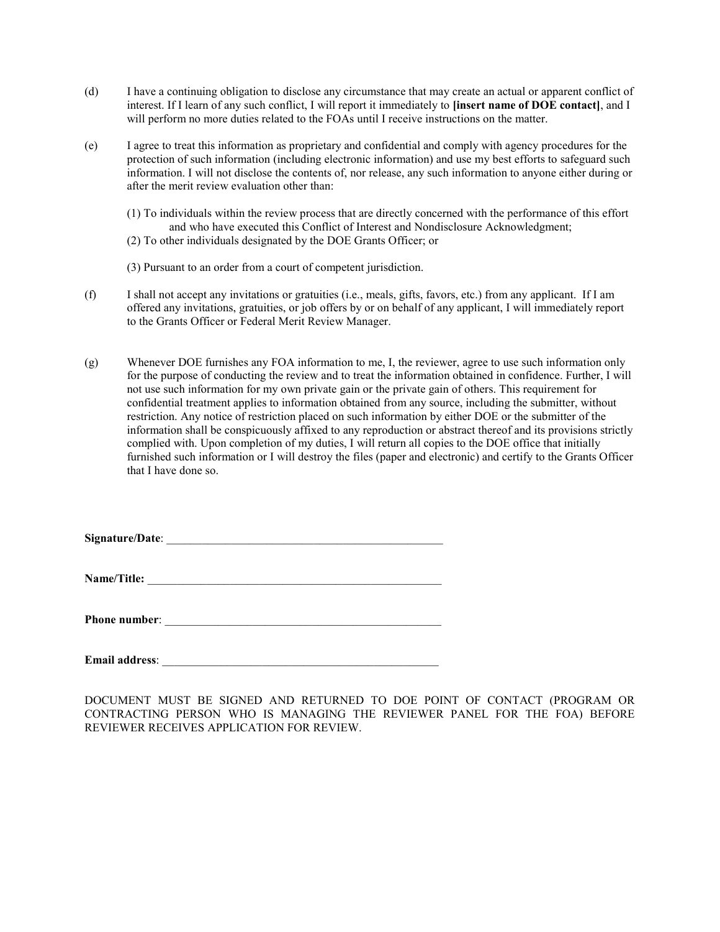- interest. If I learn of any such conflict, I will report it immediately to **[insert name of DOE contact]**, and I will perform no more duties related to the FOAs until I receive instructions on the matter. (d) I have a continuing obligation to disclose any circumstance that may create an actual or apparent conflict of
- (e) I agree to treat this information as proprietary and confidential and comply with agency procedures for the protection of such information (including electronic information) and use my best efforts to safeguard such information. I will not disclose the contents of, nor release, any such information to anyone either during or after the merit review evaluation other than:
	- (1) To individuals within the review process that are directly concerned with the performance of this effort and who have executed this Conflict of Interest and Nondisclosure Acknowledgment;
	- (2) To other individuals designated by the DOE Grants Officer; or
	- (3) Pursuant to an order from a court of competent jurisdiction.
- to the Grants Officer or Federal Merit Review Manager. (f) I shall not accept any invitations or gratuities (i.e., meals, gifts, favors, etc.) from any applicant. If I am offered any invitations, gratuities, or job offers by or on behalf of any applicant, I will immediately report
- to the Grants Officer or Federal Merit Review Manager.<br>(g) Whenever DOE furnishes any FOA information to me, I, the reviewer, agree to use such information only not use such information for my own private gain or the private gain of others. This requirement for confidential treatment applies to information obtained from any source, including the submitter, without restriction. Any notice of restriction placed on such information by either DOE or the submitter of the information shall be conspicuously affixed to any reproduction or abstract thereof and its provisions strictly complied with. Upon completion of my duties, I will return all copies to the DOE office that initially for the purpose of conducting the review and to treat the information obtained in confidence. Further, I will furnished such information or I will destroy the files (paper and electronic) and certify to the Grants Officer that I have done so.

Signature/Date:

Name/Title:

**Phone number**: \_\_\_\_\_\_\_\_\_\_\_\_\_\_\_\_\_\_\_\_\_\_\_\_\_\_\_\_\_\_\_\_\_\_\_\_\_\_\_\_\_\_\_\_\_\_\_

**Email address:** 

DOCUMENT MUST BE SIGNED AND RETURNED TO DOE POINT OF CONTACT (PROGRAM OR CONTRACTING PERSON WHO IS MANAGING THE REVIEWER PANEL FOR THE FOA) BEFORE REVIEWER RECEIVES APPLICATION FOR REVIEW.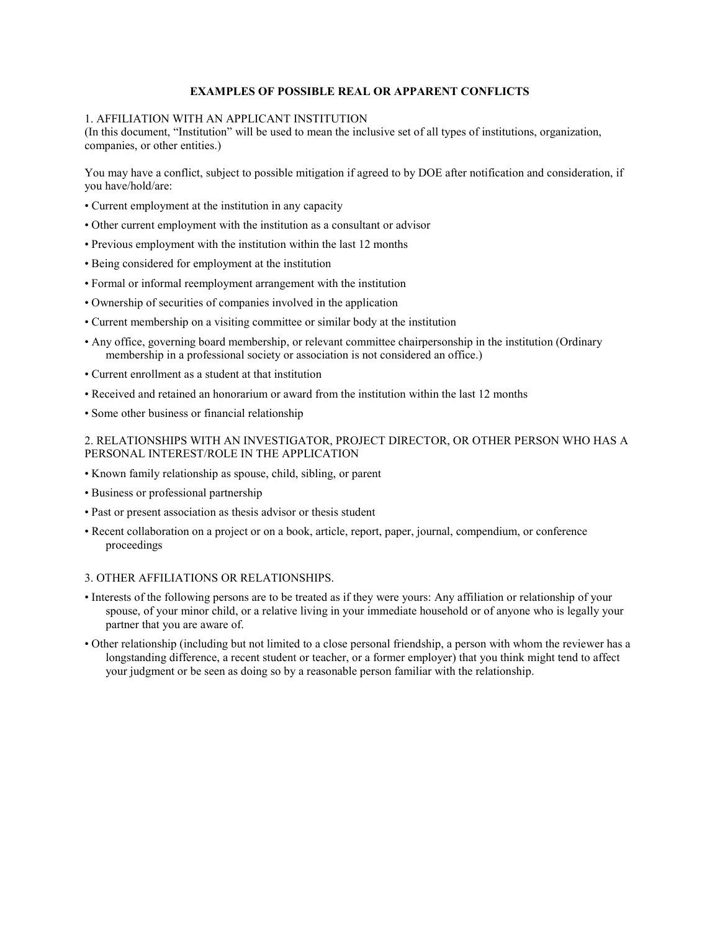### **EXAMPLES OF POSSIBLE REAL OR APPARENT CONFLICTS**

#### 1. AFFILIATION WITH AN APPLICANT INSTITUTION

(In this document, "Institution" will be used to mean the inclusive set of all types of institutions, organization, companies, or other entities.)

You may have a conflict, subject to possible mitigation if agreed to by DOE after notification and consideration, if you have/hold/are:

- Current employment at the institution in any capacity
- Other current employment with the institution as a consultant or advisor
- Previous employment with the institution within the last 12 months
- Being considered for employment at the institution
- Formal or informal reemployment arrangement with the institution
- Ownership of securities of companies involved in the application
- Current membership on a visiting committee or similar body at the institution
- Any office, governing board membership, or relevant committee chairpersonship in the institution (Ordinary membership in a professional society or association is not considered an office.)
- Current enrollment as a student at that institution
- Received and retained an honorarium or award from the institution within the last 12 months
- Some other business or financial relationship

### 2. RELATIONSHIPS WITH AN INVESTIGATOR, PROJECT DIRECTOR, OR OTHER PERSON WHO HAS A PERSONAL INTEREST/ROLE IN THE APPLICATION

- Known family relationship as spouse, child, sibling, or parent
- Business or professional partnership
- Past or present association as thesis advisor or thesis student
- Recent collaboration on a project or on a book, article, report, paper, journal, compendium, or conference proceedings

#### 3. OTHER AFFILIATIONS OR RELATIONSHIPS.

- • Interests of the following persons are to be treated as if they were yours: Any affiliation or relationship of your spouse, of your minor child, or a relative living in your immediate household or of anyone who is legally your partner that you are aware of.
- • Other relationship (including but not limited to a close personal friendship, a person with whom the reviewer has a longstanding difference, a recent student or teacher, or a former employer) that you think might tend to affect your judgment or be seen as doing so by a reasonable person familiar with the relationship.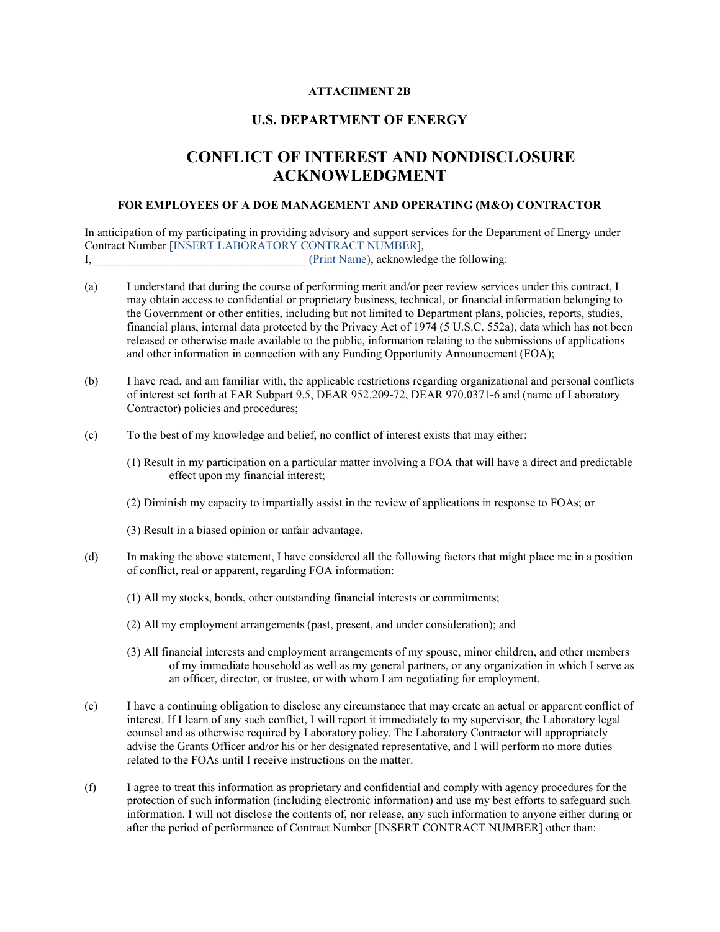### **ATTACHMENT 2B**

## **U.S. DEPARTMENT OF ENERGY**

# **ACKNOWLEDGMENT CONFLICT OF INTEREST AND NONDISCLOSURE**

#### FOR EMPLOYEES OF A DOE MANAGEMENT AND OPERATING (M&O) CONTRACTOR

 In anticipation of my participating in providing advisory and support services for the Department of Energy under Contract Number [INSERT LABORATORY CONTRACT NUMBER], I,  $\blacksquare$  (Print Name), acknowledge the following:

- (a) I understand that during the course of performing merit and/or peer review services under this contract, I financial plans, internal data protected by the Privacy Act of 1974 (5 U.S.C. 552a), data which has not been may obtain access to confidential or proprietary business, technical, or financial information belonging to the Government or other entities, including but not limited to Department plans, policies, reports, studies, released or otherwise made available to the public, information relating to the submissions of applications and other information in connection with any Funding Opportunity Announcement (FOA);
- (b) I have read, and am familiar with, the applicable restrictions regarding organizational and personal conflicts of interest set forth at FAR Subpart 9.5, DEAR 952.209-72, DEAR 970.0371-6 and (name of Laboratory Contractor) policies and procedures;
- (c) To the best of my knowledge and belief, no conflict of interest exists that may either:
	- effect upon my financial interest; (1) Result in my participation on a particular matter involving a FOA that will have a direct and predictable
	- (2) Diminish my capacity to impartially assist in the review of applications in response to FOAs; or
	- (3) Result in a biased opinion or unfair advantage.
- (d) In making the above statement, I have considered all the following factors that might place me in a position of conflict, real or apparent, regarding FOA information:
	- (1) All my stocks, bonds, other outstanding financial interests or commitments;
	- (2) All my employment arrangements (past, present, and under consideration); and
	- of my immediate household as well as my general partners, or any organization in which I serve as (3) All financial interests and employment arrangements of my spouse, minor children, and other members an officer, director, or trustee, or with whom I am negotiating for employment.
- interest. If I learn of any such conflict, I will report it immediately to my supervisor, the Laboratory legal counsel and as otherwise required by Laboratory policy. The Laboratory Contractor will appropriately advise the Grants Officer and/or his or her designated representative, and I will perform no more duties related to the FOAs until I receive instructions on the matter. (e) I have a continuing obligation to disclose any circumstance that may create an actual or apparent conflict of
- (f) I agree to treat this information as proprietary and confidential and comply with agency procedures for the protection of such information (including electronic information) and use my best efforts to safeguard such information. I will not disclose the contents of, nor release, any such information to anyone either during or after the period of performance of Contract Number [INSERT CONTRACT NUMBER] other than: